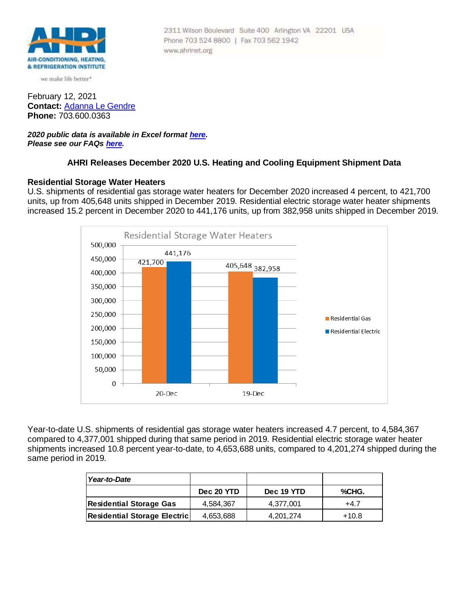

we make life better\*

February 12, 2021 **Contact:** [Adanna Le Gendre](mailto:AleGendre@ahrinet.org) **Phone:** 703.600.0363

*2020 public data is available in Excel format [here.](https://www.ahrinet.org/App_Content/ahri/files/Statistics/Monthly%20Shipments/2020/December_2020.xls) Please see our FAQs [here.](#page-3-0)*

### **AHRI Releases December 2020 U.S. Heating and Cooling Equipment Shipment Data**

Phone 703 524 8800 | Fax 703 562 1942

www.ahrinet.org

2311 Wilson Boulevard Suite 400 Arlington VA 22201 USA

### **Residential Storage Water Heaters**

U.S. shipments of residential gas storage water heaters for December 2020 increased 4 percent, to 421,700 units, up from 405,648 units shipped in December 2019. Residential electric storage water heater shipments increased 15.2 percent in December 2020 to 441,176 units, up from 382,958 units shipped in December 2019.



Year-to-date U.S. shipments of residential gas storage water heaters increased 4.7 percent, to 4,584,367 compared to 4,377,001 shipped during that same period in 2019. Residential electric storage water heater shipments increased 10.8 percent year-to-date, to 4,653,688 units, compared to 4,201,274 shipped during the same period in 2019.

| l Year-to-Date                      |            |            |        |
|-------------------------------------|------------|------------|--------|
|                                     | Dec 20 YTD | Dec 19 YTD | %CHG.  |
| <b>Residential Storage Gas</b>      | 4.584.367  | 4.377.001  | $+4.7$ |
| <b>Residential Storage Electric</b> | 4,653,688  | 4,201,274  | +10.8  |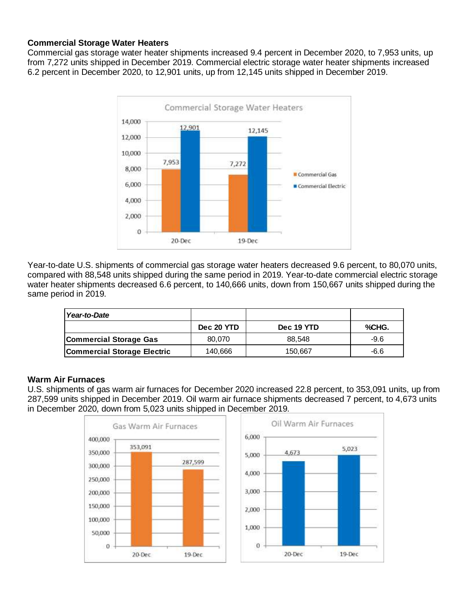# **Commercial Storage Water Heaters**

Commercial gas storage water heater shipments increased 9.4 percent in December 2020, to 7,953 units, up from 7,272 units shipped in December 2019. Commercial electric storage water heater shipments increased 6.2 percent in December 2020, to 12,901 units, up from 12,145 units shipped in December 2019.



Year-to-date U.S. shipments of commercial gas storage water heaters decreased 9.6 percent, to 80,070 units, compared with 88,548 units shipped during the same period in 2019. Year-to-date commercial electric storage water heater shipments decreased 6.6 percent, to 140,666 units, down from 150,667 units shipped during the same period in 2019.

| Year-to-Date                       |            |            |       |
|------------------------------------|------------|------------|-------|
|                                    | Dec 20 YTD | Dec 19 YTD | %CHG. |
| <b>Commercial Storage Gas</b>      | 80.070     | 88.548     | -9.6  |
| <b>Commercial Storage Electric</b> | 140,666    | 150.667    | -6.6  |

## **Warm Air Furnaces**

U.S. shipments of gas warm air furnaces for December 2020 increased 22.8 percent, to 353,091 units, up from 287,599 units shipped in December 2019. Oil warm air furnace shipments decreased 7 percent, to 4,673 units in December 2020, down from 5,023 units shipped in December 2019.

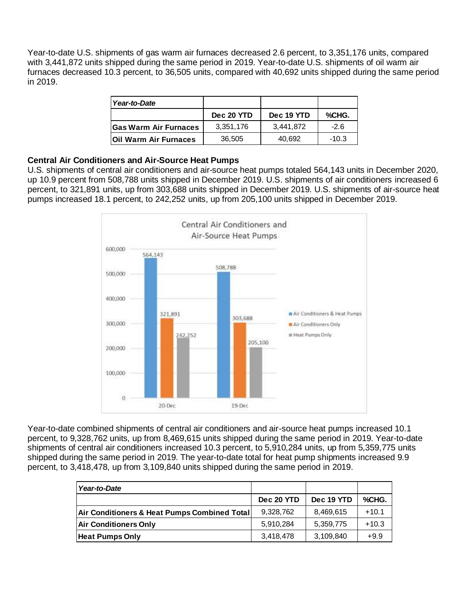Year-to-date U.S. shipments of gas warm air furnaces decreased 2.6 percent, to 3,351,176 units, compared with 3,441,872 units shipped during the same period in 2019. Year-to-date U.S. shipments of oil warm air furnaces decreased 10.3 percent, to 36,505 units, compared with 40,692 units shipped during the same period in 2019.

| Year-to-Date                  |            |            |         |
|-------------------------------|------------|------------|---------|
|                               | Dec 20 YTD | Dec 19 YTD | %CHG.   |
| <b>IGas Warm Air Furnaces</b> | 3,351,176  | 3,441,872  | $-2.6$  |
| <b>IOII Warm Air Furnaces</b> | 36,505     | 40.692     | $-10.3$ |

## **Central Air Conditioners and Air-Source Heat Pumps**

U.S. shipments of central air conditioners and air-source heat pumps totaled 564,143 units in December 2020, up 10.9 percent from 508,788 units shipped in December 2019. U.S. shipments of air conditioners increased 6 percent, to 321,891 units, up from 303,688 units shipped in December 2019. U.S. shipments of air-source heat pumps increased 18.1 percent, to 242,252 units, up from 205,100 units shipped in December 2019.



Year-to-date combined shipments of central air conditioners and air-source heat pumps increased 10.1 percent, to 9,328,762 units, up from 8,469,615 units shipped during the same period in 2019. Year-to-date shipments of central air conditioners increased 10.3 percent, to 5,910,284 units, up from 5,359,775 units shipped during the same period in 2019. The year-to-date total for heat pump shipments increased 9.9 percent, to 3,418,478, up from 3,109,840 units shipped during the same period in 2019.

| Year-to-Date                                 |            |            |         |
|----------------------------------------------|------------|------------|---------|
|                                              | Dec 20 YTD | Dec 19 YTD | %CHG.   |
| Air Conditioners & Heat Pumps Combined Total | 9,328,762  | 8,469,615  | $+10.1$ |
| <b>Air Conditioners Only</b>                 | 5.910.284  | 5,359,775  | $+10.3$ |
| <b>Heat Pumps Only</b>                       | 3,418,478  | 3,109,840  | $+9.9$  |